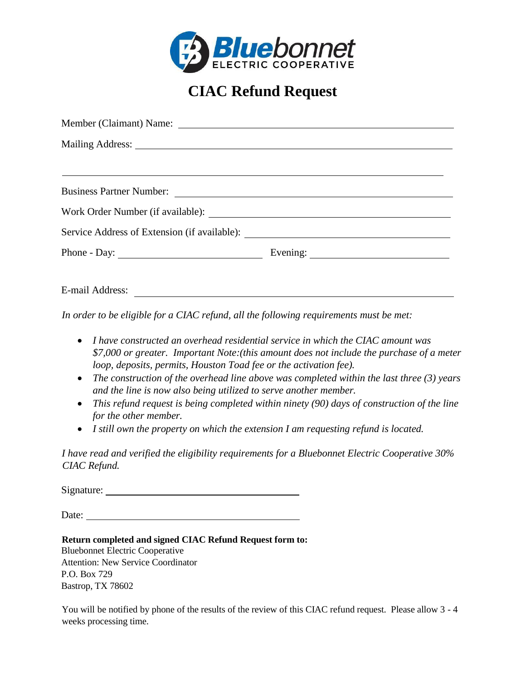

## **CIAC Refund Request**

| <u> 1989 - Johann Stoff, deutscher Stoffen und der Stoffen und der Stoffen und der Stoffen und der Stoffen und de</u>                                                                                                                |  |
|--------------------------------------------------------------------------------------------------------------------------------------------------------------------------------------------------------------------------------------|--|
|                                                                                                                                                                                                                                      |  |
| Service Address of Extension (if available): ___________________________________                                                                                                                                                     |  |
|                                                                                                                                                                                                                                      |  |
| <b>The Contract of the Contract of the Contract of the Contract of the Contract of the Contract of the Contract of the Contract of the Contract of the Contract of the Contract of the Contract of the Contract of the Contract </b> |  |

E-mail Address:

*In order to be eligible for a CIAC refund, all the following requirements must be met:*

- *I have constructed an overhead residential service in which the CIAC amount was \$7,000 or greater. Important Note:(this amount does not include the purchase of a meter loop, deposits, permits, Houston Toad fee or the activation fee).*
- *The construction of the overhead line above was completed within the last three (3) years and the line is now also being utilized to serve another member.*
- *This refund request is being completed within ninety (90) days of construction of the line for the other member.*
- *I still own the property on which the extension I am requesting refund is located.*

*I have read and verified the eligibility requirements for a Bluebonnet Electric Cooperative 30% CIAC Refund.*

Signature:

Date:

**Return completed and signed CIAC Refund Request form to:**

Bluebonnet Electric Cooperative Attention: New Service Coordinator P.O. Box 729 Bastrop, TX 78602

You will be notified by phone of the results of the review of this CIAC refund request. Please allow 3 - 4 weeks processing time.